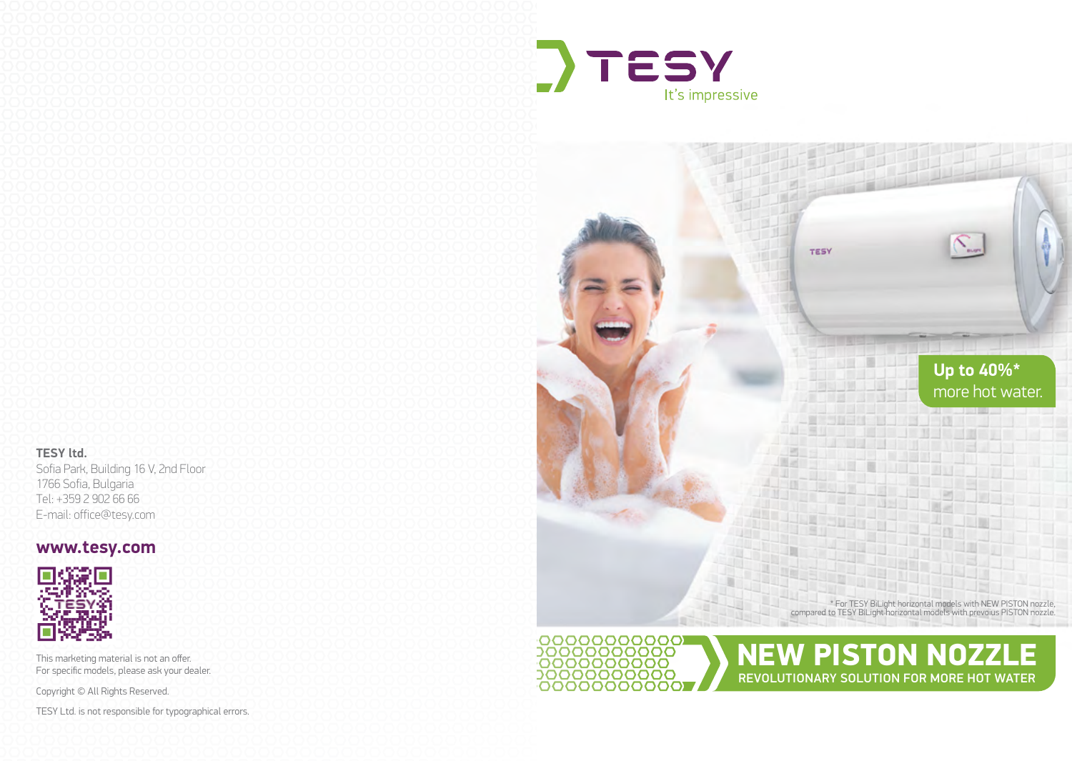



## **www.tesy.com**



This marketing material is not an offer. For specific models, please ask your dealer.

Copyright © All Rights Reserved.

TESY Ltd. is not responsible for typographical errors.





NEW PISTON NOZZLE REVOLUTIONARY SOLUTION FOR MORE HOT WATER